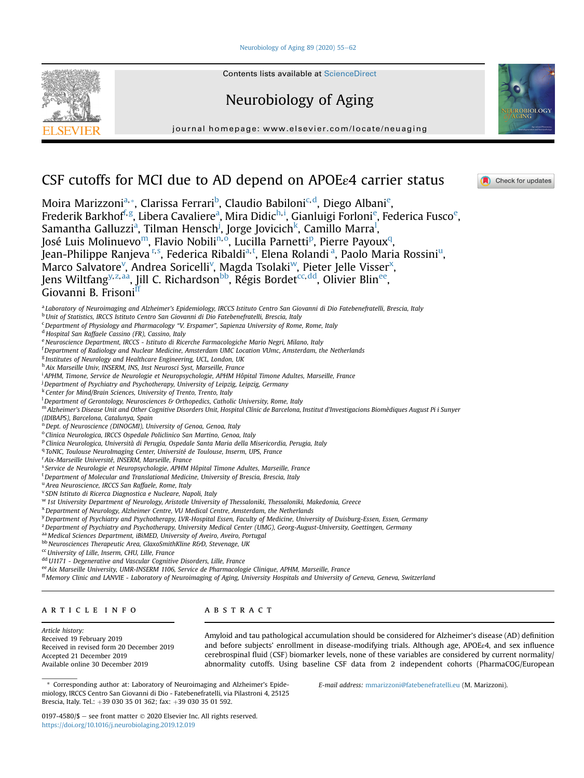### Neurobiology of Aging  $89$  (2020)  $55-62$  $55-62$



Contents lists available at ScienceDirect

# Neurobiology of Aging

journal homepage: [www.elsevier.com/locate/neuaging](http://www.elsevier.com/locate/neuaging)



**A** Check for updates

# CSF cutoffs for MCI due to AD depend on APOEε4 carrier status

Moir[a](#page-0-0) Marizzoni<sup>a,</sup>[\\*](#page-0-1), Clarissa Ferrari<sup>[b](#page-0-2)</sup>, Clau[d](#page-0-4)io Babiloni<sup>c,d</sup>, D[ie](#page-0-5)go Albani<sup>e</sup>, Frederik Barkho[f](#page-0-6)<sup>f,[g](#page-0-7)</sup>, Liber[a](#page-0-0) Cavaliere<sup>a</sup>, Mira Didic<sup>[h,](#page-0-8)[i](#page-0-9)</sup>, Gianluigi Forloni<sup>[e](#page-0-5)</sup>, Federica Fusco<sup>e</sup>, Samantha Galluzzi<sup>a</sup>, Tilman Hensch<sup>[j](#page-0-10)</sup>, Jorge Jovicich<sup>[k](#page-0-11)</sup>, Cami[l](#page-0-12)lo Marra<sup>l</sup>, José Luis Mol[in](#page-0-14)uev[o](#page-0-15)<su[p](#page-0-16)>m</sup>, Flavio Nobili<sup>n,o</sup>, Lucilla Parnetti<sup>p</sup>, Pierre Payoux<sup>q</sup>, .<br>Jean-Philippe Ranjeva <sup>[r,](#page-0-18) [s](#page-0-19)</sup>, Federica Ribaldi<sup>[a,](#page-0-0) [t](#page-0-20)</sup>, Elen[a](#page-0-0) Rolandi <s[u](#page-0-21)p>a</sup>, Paolo Maria Rossini<sup>u</sup>, Marco Salvatore<sup>v</sup>, Andrea Soricelli<sup>v</sup>, Magda Tsolaki<sup>w</sup>, Pieter Jelle Visser<sup>[x](#page-0-24)</sup>, Jens Wiltfang<sup>[y,](#page-0-25) [z](#page-0-26), [aa](#page-0-27)</sup>, Jill C. Richardson<sup>bb</sup>, Régis Bordet<sup>cc, [dd](#page-0-30)</sup>, Olivier Blin<sup>ee</sup>, Giovanni B. Frisoni<sup>[ff](#page-0-32)</sup>

<span id="page-0-0"></span>a Laboratory of Neuroimaging and Alzheimer's Epidemiology, IRCCS Istituto Centro San Giovanni di Dio Fatebenefratelli, Brescia, Italy

<span id="page-0-2"></span><sup>b</sup> Unit of Statistics, IRCCS Istituto Centro San Giovanni di Dio Fatebenefratelli, Brescia, Italy

<span id="page-0-3"></span><sup>c</sup> Department of Physiology and Pharmacology "V. Erspamer", Sapienza University of Rome, Rome, Italy

<span id="page-0-4"></span><sup>d</sup> Hospital San Raffaele Cassino (FR), Cassino, Italy

<span id="page-0-5"></span>e<br>Neuroscience Department, IRCCS - Istituto di Ricerche Farmacologiche Mario Negri, Milano, Italy

<span id="page-0-6"></span>f Department of Radiology and Nuclear Medicine, Amsterdam UMC Location VUmc, Amsterdam, the Netherlands

<span id="page-0-7"></span><sup>g</sup> Institutes of Neurology and Healthcare Engineering, UCL, London, UK

<span id="page-0-8"></span>h Aix Marseille Univ, INSERM, INS, Inst Neurosci Syst, Marseille, France

<span id="page-0-9"></span>i APHM, Timone, Service de Neurologie et Neuropsychologie, APHM Hôpital Timone Adultes, Marseille, France

<span id="page-0-10"></span><sup>j</sup> Department of Psychiatry and Psychotherapy, University of Leipzig, Leipzig, Germany

<span id="page-0-11"></span><sup>k</sup> Center for Mind/Brain Sciences, University of Trento, Trento, Italy

<span id="page-0-12"></span> $^{\rm l}$ Department of Gerontology, Neurosciences & Orthopedics, Catholic University, Rome, Italy

<span id="page-0-13"></span><sup>m</sup> Alzheimer's Disease Unit and Other Cognitive Disorders Unit, Hospital Clínic de Barcelona, Institut d'Investigacions Biomèdiques August Pi i Sunyer (IDIBAPS), Barcelona, Catalunya, Spain

<span id="page-0-14"></span>n Dept. of Neuroscience (DINOGMI), University of Genoa, Genoa, Italy

<span id="page-0-15"></span><sup>o</sup> Clinica Neurologica, IRCCS Ospedale Policlinico San Martino, Genoa, Italy

<span id="page-0-16"></span><sup>p</sup> Clinica Neurologica, Università di Perugia, Ospedale Santa Maria della Misericordia, Perugia, Italy

<span id="page-0-17"></span><sup>q</sup> ToNIC, Toulouse NeuroImaging Center, Université de Toulouse, Inserm, UPS, France

<span id="page-0-18"></span><sup>r</sup> Aix-Marseille Université, INSERM, Marseille, France

<span id="page-0-19"></span><sup>s</sup> Service de Neurologie et Neuropsychologie, APHM Hôpital Timone Adultes, Marseille, France

<span id="page-0-20"></span><sup>t</sup> Department of Molecular and Translational Medicine, University of Brescia, Brescia, Italy

<span id="page-0-21"></span><sup>u</sup> Area Neuroscience, IRCCS San Raffaele, Rome, Italy

<span id="page-0-22"></span><sup>v</sup> SDN Istituto di Ricerca Diagnostica e Nucleare, Napoli, Italy

<span id="page-0-23"></span><sup>w</sup> 1st University Department of Neurology, Aristotle University of Thessaloniki, Thessaloniki, Makedonia, Greece

<span id="page-0-24"></span><sup>x</sup>Department of Neurology, Alzheimer Centre, VU Medical Centre, Amsterdam, the Netherlands

<span id="page-0-25"></span>y Department of Psychiatry and Psychotherapy, LVR-Hospital Essen, Faculty of Medicine, University of Duisburg-Essen, Essen, Germany

<span id="page-0-26"></span><sup>z</sup> Department of Psychiatry and Psychotherapy, University Medical Center (UMG), Georg-August-University, Goettingen, Germany

<span id="page-0-27"></span>aa Medical Sciences Department, iBiMED, University of Aveiro, Aveiro, Portugal

<span id="page-0-28"></span>bb Neurosciences Therapeutic Area, GlaxoSmithKline R&D, Stevenage, UK

<span id="page-0-29"></span><sup>cc</sup> University of Lille, Inserm, CHU, Lille, France

<span id="page-0-30"></span>dd U1171 - Degenerative and Vascular Cognitive Disorders, Lille, France

<span id="page-0-31"></span>ee Aix Marseille University, UMR-INSERM 1106, Service de Pharmacologie Clinique, APHM, Marseille, France

<span id="page-0-32"></span>ff Memory Clinic and LANVIE - Laboratory of Neuroimaging of Aging, University Hospitals and University of Geneva, Geneva, Switzerland

# article info

# **ABSTRACT**

Article history: Received 19 February 2019 Received in revised form 20 December 2019 Accepted 21 December 2019 Available online 30 December 2019

Amyloid and tau pathological accumulation should be considered for Alzheimer's disease (AD) definition and before subjects' enrollment in disease-modifying trials. Although age, APOE<sub>ε4</sub>, and sex influence cerebrospinal fluid (CSF) biomarker levels, none of these variables are considered by current normality/ abnormality cutoffs. Using baseline CSF data from 2 independent cohorts (PharmaCOG/European

<span id="page-0-1"></span>\* Corresponding author at: Laboratory of Neuroimaging and Alzheimer's Epidemiology, IRCCS Centro San Giovanni di Dio - Fatebenefratelli, via Pilastroni 4, 25125 Brescia, Italy. Tel.: +39 030 35 01 362; fax: +39 030 35 01 592.

E-mail address: [mmarizzoni@fatebenefratelli.eu](mailto:mmarizzoni@fatebenefratelli.eu) (M. Marizzoni).

0197-4580/\$  $-$  see front matter  $\odot$  2020 Elsevier Inc. All rights reserved. <https://doi.org/10.1016/j.neurobiolaging.2019.12.019>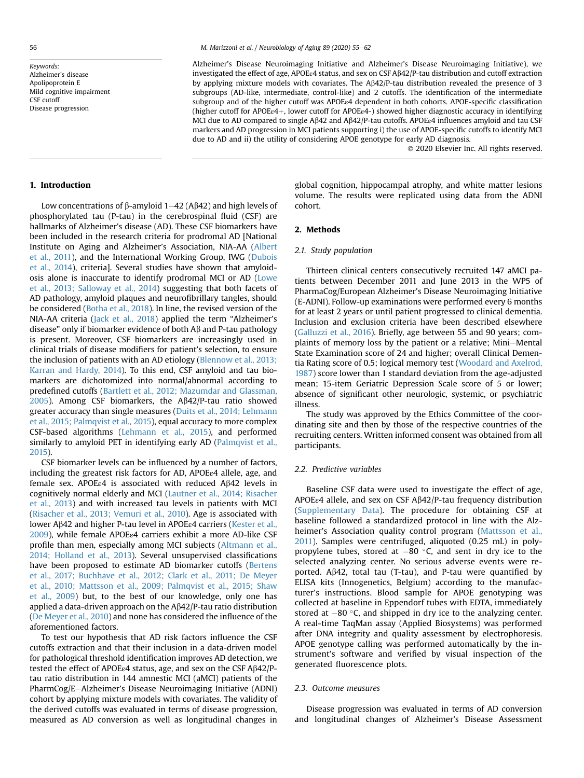Keywords: Alzheimer's disease Apolipoprotein E Mild cognitive impairment CSF cutoff Disease progression

Alzheimer's Disease Neuroimaging Initiative and Alzheimer's Disease Neuroimaging Initiative), we investigated the effect of age, APOEε4 status, and sex on CSF Ab42/P-tau distribution and cutoff extraction by applying mixture models with covariates. The Ab42/P-tau distribution revealed the presence of 3 subgroups (AD-like, intermediate, control-like) and 2 cutoffs. The identification of the intermediate subgroup and of the higher cutoff was APOEε4 dependent in both cohorts. APOE-specific classification (higher cutoff for APOEε4þ, lower cutoff for APOEε4-) showed higher diagnostic accuracy in identifying MCI due to AD compared to single  $A\beta42$  and  $A\beta42$ /P-tau cutoffs. APOE<sub>ε4</sub> influences amyloid and tau CSF markers and AD progression in MCI patients supporting i) the use of APOE-specific cutoffs to identify MCI due to AD and ii) the utility of considering APOE genotype for early AD diagnosis.

2020 Elsevier Inc. All rights reserved.

## 1. Introduction

Low concentrations of  $\beta$ -amyloid 1–42 (A $\beta$ 42) and high levels of phosphorylated tau (P-tau) in the cerebrospinal fluid (CSF) are hallmarks of Alzheimer's disease (AD). These CSF biomarkers have been included in the research criteria for prodromal AD [National Institute on Aging and Alzheimer's Association, NIA-AA ([Albert](#page-6-0) [et al., 2011\)](#page-6-0), and the International Working Group, IWG ([Dubois](#page-6-1) [et al., 2014](#page-6-1)), criteria]. Several studies have shown that amyloidosis alone is inaccurate to identify prodromal MCI or AD ([Lowe](#page-7-0) [et al., 2013; Salloway et al., 2014](#page-7-0)) suggesting that both facets of AD pathology, amyloid plaques and neurofibrillary tangles, should be considered ([Botha et al., 2018\)](#page-6-2). In line, the revised version of the NIA-AA criteria ([Jack et al., 2018\)](#page-7-1) applied the term "Alzheimer's disease" only if biomarker evidence of both  $\mathsf{A}\beta$  and P-tau pathology is present. Moreover, CSF biomarkers are increasingly used in clinical trials of disease modifiers for patient's selection, to ensure the inclusion of patients with an AD etiology [\(Blennow et al., 2013;](#page-6-3) [Karran and Hardy, 2014\)](#page-6-3). To this end, CSF amyloid and tau biomarkers are dichotomized into normal/abnormal according to predefined cutoffs [\(Bartlett et al., 2012; Mazumdar and Glassman,](#page-6-4) [2005](#page-6-4)). Among CSF biomarkers, the  $A\beta42/P$ -tau ratio showed greater accuracy than single measures [\(Duits et al., 2014; Lehmann](#page-7-2) [et al., 2015; Palmqvist et al., 2015](#page-7-2)), equal accuracy to more complex CSF-based algorithms ([Lehmann et al., 2015\)](#page-7-3), and performed similarly to amyloid PET in identifying early AD ([Palmqvist et al.,](#page-7-4) [2015](#page-7-4)).

CSF biomarker levels can be influenced by a number of factors, including the greatest risk factors for AD, APOEε4 allele, age, and female sex. APOEε4 is associated with reduced  $A\beta$ 42 levels in cognitively normal elderly and MCI ([Lautner et al., 2014; Risacher](#page-7-5) [et al., 2013\)](#page-7-5) and with increased tau levels in patients with MCI [\(Risacher et al., 2013; Vemuri et al., 2010\)](#page-7-6). Age is associated with lower Aβ42 and higher P-tau level in APOEε4 carriers ([Kester et al.,](#page-7-7) [2009](#page-7-7)), while female APOEε4 carriers exhibit a more AD-like CSF profile than men, especially among MCI subjects ([Altmann et al.,](#page-6-5) [2014; Holland et al., 2013\)](#page-6-5). Several unsupervised classifications have been proposed to estimate AD biomarker cutoffs [\(Bertens](#page-6-6) [et al., 2017; Buchhave et al., 2012; Clark et al., 2011; De Meyer](#page-6-6) [et al., 2010; Mattsson et al., 2009; Palmqvist et al., 2015; Shaw](#page-6-6) [et al., 2009](#page-6-6)) but, to the best of our knowledge, only one has applied a data-driven approach on the A $\beta$ 42/P-tau ratio distribution [\(De Meyer et al., 2010](#page-6-7)) and none has considered the influence of the aforementioned factors.

To test our hypothesis that AD risk factors influence the CSF cutoffs extraction and that their inclusion in a data-driven model for pathological threshold identification improves AD detection, we tested the effect of APOE<sub>ε4</sub> status, age, and sex on the CSF A $\beta$ 42/Ptau ratio distribution in 144 amnestic MCI (aMCI) patients of the PharmCog/E-Alzheimer's Disease Neuroimaging Initiative (ADNI) cohort by applying mixture models with covariates. The validity of the derived cutoffs was evaluated in terms of disease progression, measured as AD conversion as well as longitudinal changes in global cognition, hippocampal atrophy, and white matter lesions volume. The results were replicated using data from the ADNI cohort.

## 2. Methods

#### 2.1. Study population

Thirteen clinical centers consecutively recruited 147 aMCI patients between December 2011 and June 2013 in the WP5 of PharmaCog/European Alzheimer's Disease Neuroimaging Initiative (E-ADNI). Follow-up examinations were performed every 6 months for at least 2 years or until patient progressed to clinical dementia. Inclusion and exclusion criteria have been described elsewhere ([Galluzzi et al., 2016](#page-7-8)). Briefly, age between 55 and 90 years; complaints of memory loss by the patient or a relative; Mini-Mental State Examination score of 24 and higher; overall Clinical Dementia Rating score of 0.5; logical memory test ([Woodard and Axelrod,](#page-7-9) [1987](#page-7-9)) score lower than 1 standard deviation from the age-adjusted mean; 15-item Geriatric Depression Scale score of 5 or lower; absence of significant other neurologic, systemic, or psychiatric illness.

The study was approved by the Ethics Committee of the coordinating site and then by those of the respective countries of the recruiting centers. Written informed consent was obtained from all participants.

## 2.2. Predictive variables

Baseline CSF data were used to investigate the effect of age, APOEε4 allele, and sex on CSF Ab42/P-tau frequency distribution (Supplementary Data). The procedure for obtaining CSF at baseline followed a standardized protocol in line with the Alz-heimer's Association quality control program ([Mattsson et al.,](#page-7-10) [2011\)](#page-7-10). Samples were centrifuged, aliquoted (0.25 mL) in polypropylene tubes, stored at  $-80$  °C, and sent in dry ice to the selected analyzing center. No serious adverse events were reported.  $A\beta 42$ , total tau (T-tau), and P-tau were quantified by ELISA kits (Innogenetics, Belgium) according to the manufacturer's instructions. Blood sample for APOE genotyping was collected at baseline in Eppendorf tubes with EDTA, immediately stored at  $-80$  °C, and shipped in dry ice to the analyzing center. A real-time TaqMan assay (Applied Biosystems) was performed after DNA integrity and quality assessment by electrophoresis. APOE genotype calling was performed automatically by the instrument's software and verified by visual inspection of the generated fluorescence plots.

#### 2.3. Outcome measures

Disease progression was evaluated in terms of AD conversion and longitudinal changes of Alzheimer's Disease Assessment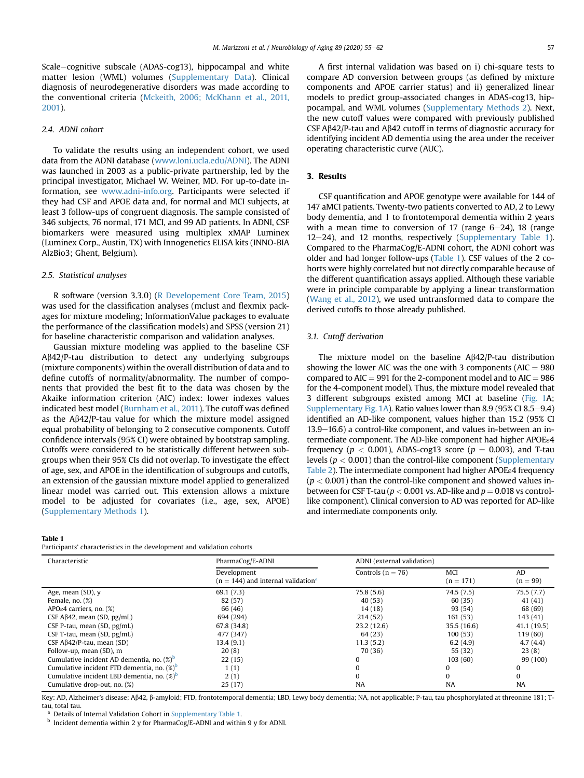Scale-cognitive subscale (ADAS-cog13), hippocampal and white matter lesion (WML) volumes (Supplementary Data). Clinical diagnosis of neurodegenerative disorders was made according to the conventional criteria ([Mckeith, 2006; McKhann et al., 2011,](#page-7-11) [2001\)](#page-7-11).

## 2.4. ADNI cohort

To validate the results using an independent cohort, we used data from the ADNI database [\(www.loni.ucla.edu/ADNI\)](http://www.loni.ucla.edu/ADNI). The ADNI was launched in 2003 as a public-private partnership, led by the principal investigator, Michael W. Weiner, MD. For up-to-date information, see [www.adni-info.org](http://www.adni-info.org). Participants were selected if they had CSF and APOE data and, for normal and MCI subjects, at least 3 follow-ups of congruent diagnosis. The sample consisted of 346 subjects, 76 normal, 171 MCI, and 99 AD patients. In ADNI, CSF biomarkers were measured using multiplex xMAP Luminex (Luminex Corp., Austin, TX) with Innogenetics ELISA kits (INNO-BIA AlzBio3; Ghent, Belgium).

## 2.5. Statistical analyses

R software (version 3.3.0) [\(R Developement Core Team, 2015](#page-7-12)) was used for the classification analyses (mclust and flexmix packages for mixture modeling; InformationValue packages to evaluate the performance of the classification models) and SPSS (version 21) for baseline characteristic comparison and validation analyses.

Gaussian mixture modeling was applied to the baseline CSF  $A\beta42$ /P-tau distribution to detect any underlying subgroups (mixture components) within the overall distribution of data and to define cutoffs of normality/abnormality. The number of components that provided the best fit to the data was chosen by the Akaike information criterion (AIC) index: lower indexes values indicated best model [\(Burnham et al., 2011\)](#page-6-8). The cutoff was defined as the  $A\beta 42$ /P-tau value for which the mixture model assigned equal probability of belonging to 2 consecutive components. Cutoff confidence intervals (95% CI) were obtained by bootstrap sampling. Cutoffs were considered to be statistically different between subgroups when their 95% CIs did not overlap. To investigate the effect of age, sex, and APOE in the identification of subgroups and cutoffs, an extension of the gaussian mixture model applied to generalized linear model was carried out. This extension allows a mixture model to be adjusted for covariates (i.e., age, sex, APOE) (Supplementary Methods 1).

#### <span id="page-2-0"></span>Table 1

Participants' characteristics in the development and validation cohorts

A first internal validation was based on i) chi-square tests to compare AD conversion between groups (as defined by mixture components and APOE carrier status) and ii) generalized linear models to predict group-associated changes in ADAS-cog13, hippocampal, and WML volumes (Supplementary Methods 2). Next, the new cutoff values were compared with previously published CSF A $\beta$ 42/P-tau and A $\beta$ 42 cutoff in terms of diagnostic accuracy for identifying incident AD dementia using the area under the receiver operating characteristic curve (AUC).

## 3. Results

CSF quantification and APOE genotype were available for 144 of 147 aMCI patients. Twenty-two patients converted to AD, 2 to Lewy body dementia, and 1 to frontotemporal dementia within 2 years with a mean time to conversion of 17 (range  $6-24$ ), 18 (range 12-24), and 12 months, respectively (Supplementary Table 1). Compared to the PharmaCog/E-ADNI cohort, the ADNI cohort was older and had longer follow-ups ([Table 1\)](#page-2-0). CSF values of the 2 cohorts were highly correlated but not directly comparable because of the different quantification assays applied. Although these variable were in principle comparable by applying a linear transformation [\(Wang et al., 2012\)](#page-7-13), we used untransformed data to compare the derived cutoffs to those already published.

## 3.1. Cutoff derivation

The mixture model on the baseline  $A\beta 42/P$ -tau distribution showing the lower AIC was the one with 3 components ( $AIC = 980$ compared to  $AIC = 991$  for the 2-component model and to  $AIC = 986$ for the 4-component model). Thus, the mixture model revealed that 3 different subgroups existed among MCI at baseline [\(Fig. 1A](#page-3-0); Supplementary Fig. 1A). Ratio values lower than 8.9 (95% CI 8.5–9.4) identified an AD-like component, values higher than 15.2 (95% CI  $13.9-16.6$ ) a control-like component, and values in-between an intermediate component. The AD-like component had higher APOEε4 frequency ( $p < 0.001$ ), ADAS-cog13 score ( $p = 0.003$ ), and T-tau levels ( $p < 0.001$ ) than the control-like component (Supplementary Table 2). The intermediate component had higher APOEε4 frequency  $(p < 0.001)$  than the control-like component and showed values inbetween for CSF T-tau ( $p < 0.001$  vs. AD-like and  $p = 0.018$  vs controllike component). Clinical conversion to AD was reported for AD-like and intermediate components only.

| Characteristic                                         | PharmaCog/E-ADNI                                 | ADNI (external validation) |             |             |
|--------------------------------------------------------|--------------------------------------------------|----------------------------|-------------|-------------|
|                                                        | Development                                      | Controls ( $n = 76$ )      | MCI         | AD          |
|                                                        | $(n = 144)$ and internal validation <sup>a</sup> |                            | $(n = 171)$ | $(n = 99)$  |
| Age, mean (SD), y                                      | 69.1(7.3)                                        | 75.8(5.6)                  | 74.5(7.5)   | 75.5(7.7)   |
| Female, $no.$ $(\%)$                                   | 82 (57)                                          | 40 (53)                    | 60(35)      | 41 (41)     |
| APO $\epsilon$ 4 carriers, no. (%)                     | 66 (46)                                          | 14(18)                     | 93 (54)     | 68 (69)     |
| CSF $A\beta$ 42, mean (SD, $pg/mL$ )                   | 694 (294)                                        | 214(52)                    | 161(53)     | 143 (41)    |
| CSF P-tau, mean $(SD, pg/mL)$                          | 67.8 (34.8)                                      | 23.2(12.6)                 | 35.5(16.6)  | 41.1 (19.5) |
| CSF T-tau, mean (SD, pg/mL)                            | 477 (347)                                        | 64 (23)                    | 100(53)     | 119(60)     |
| CSF $A\beta42/P$ -tau, mean (SD)                       | 13.4(9.1)                                        | 11.3(5.2)                  | 6.2(4.9)    | 4.7(4.4)    |
| Follow-up, mean (SD), m                                | 20(8)                                            | 70 (36)                    | 55 (32)     | 23(8)       |
| Cumulative incident AD dementia, no. (%) <sup>D</sup>  | 22(15)                                           | 0                          | 103(60)     | 99 (100)    |
| Cumulative incident FTD dementia, no. $(\%)^b$         | 1(1)                                             | O                          | 0           | 0           |
| Cumulative incident LBD dementia, no. (%) <sup>b</sup> | 2(1)                                             | $\Omega$                   | $\Omega$    | $\Omega$    |
| Cumulative drop-out, no. (%)                           | 25(17)                                           | <b>NA</b>                  | <b>NA</b>   | <b>NA</b>   |
|                                                        |                                                  |                            |             |             |

Key: AD, Alzheimer's disease; Aß42, ß-amyloid; FTD, frontotemporal dementia; LBD, Lewy body dementia; NA, not applicable; P-tau, tau phosphorylated at threonine 181; Ttau, total tau.

Details of Internal Validation Cohort in Supplementary Table 1.

<sup>b</sup> Incident dementia within 2 y for PharmaCog/E-ADNI and within 9 y for ADNI.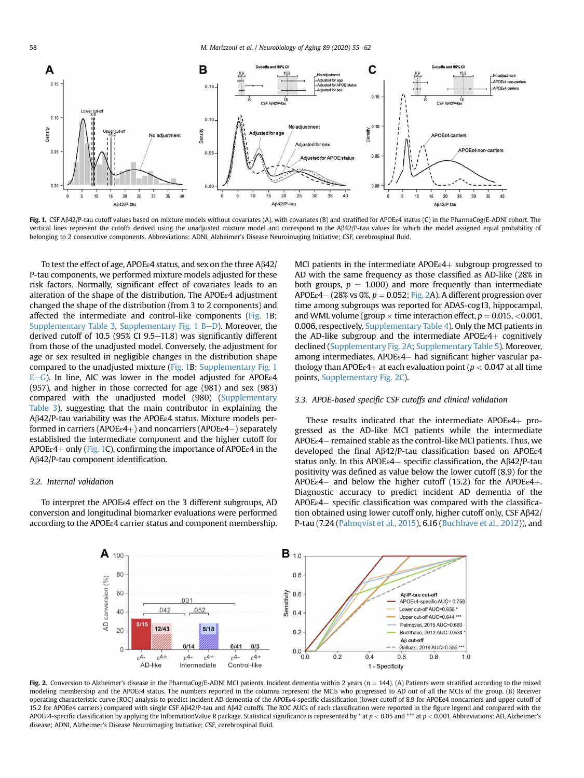<span id="page-3-0"></span>

Fig. 1. CSF Aβ42/P-tau cutoff values based on mixture models without covariates (A), with covariates (B) and stratified for APOEε4 status (C) in the PharmaCog/E-ADNI cohort. The vertical lines represent the cutoffs derived using the unadjusted mixture model and correspond to the A $\beta$ 42/P-tau values for which the model assigned equal probability of belonging to 2 consecutive components. Abbreviations: ADNI, Alzheimer's Disease Neuroimaging Initiative; CSF, cerebrospinal fluid.

To test the effect of age, APOEε4 status, and sex on the three Ab42/ P-tau components, we performed mixture models adjusted for these risk factors. Normally, significant effect of covariates leads to an alteration of the shape of the distribution. The APOEε4 adjustment changed the shape of the distribution (from 3 to 2 components) and affected the intermediate and control-like components ([Fig. 1](#page-3-0)B; Supplementary Table 3, Supplementary Fig.  $1 B-D$ ). Moreover, the derived cutoff of 10.5 (95% CI 9.5 $-11.8$ ) was significantly different from those of the unadjusted model. Conversely, the adjustment for age or sex resulted in negligible changes in the distribution shape compared to the unadjusted mixture ([Fig. 1B](#page-3-0); Supplementary Fig. 1 E-G). In line, AIC was lower in the model adjusted for APOE<sup> $e$ 4</sup> (957), and higher in those corrected for age (981) and sex (983) compared with the unadjusted model (980) (Supplementary Table 3), suggesting that the main contributor in explaining the Ab42/P-tau variability was the APOEε4 status. Mixture models performed in carriers (APOEε4+) and noncarriers (APOEε4-) separately established the intermediate component and the higher cutoff for APOE $\varepsilon$ 4+ only [\(Fig. 1](#page-3-0)C), confirming the importance of APOE $\varepsilon$ 4 in the Ab42/P-tau component identification.

## 3.2. Internal validation

<span id="page-3-1"></span>To interpret the APOEε4 effect on the 3 different subgroups, AD conversion and longitudinal biomarker evaluations were performed according to the APOEε4 carrier status and component membership. MCI patients in the intermediate  $APOEe4$  subgroup progressed to AD with the same frequency as those classified as AD-like (28% in both groups,  $p = 1.000$ ) and more frequently than intermediate  $APOEe4 - (28\% \text{ vs } 0\%, p = 0.052; \text{ Fig. 2A}).$  $APOEe4 - (28\% \text{ vs } 0\%, p = 0.052; \text{ Fig. 2A}).$  $APOEe4 - (28\% \text{ vs } 0\%, p = 0.052; \text{ Fig. 2A}).$  A different progression over time among subgroups was reported for ADAS-cog13, hippocampal, and WML volume (group  $\times$  time interaction effect,  $p = 0.015, < 0.001$ , 0.006, respectively, Supplementary Table 4). Only the MCI patients in the AD-like subgroup and the intermediate  $APOEe4+$  cognitively declined (Supplementary Fig. 2A; Supplementary Table 5). Moreover, among intermediates, APOEε4- had significant higher vascular pathology than APOE $\varepsilon$ 4+ at each evaluation point ( $p < 0.047$  at all time points, Supplementary Fig. 2C).

## 3.3. APOE-based specific CSF cutoffs and clinical validation

These results indicated that the intermediate  $APOEe4+$  progressed as the AD-like MCI patients while the intermediate APOEε4- remained stable as the control-like MCI patients. Thus, we developed the final Ab42/P-tau classification based on APOEε4 status only. In this APOEε4 – specific classification, the Aβ42/P-tau positivity was defined as value below the lower cutoff (8.9) for the APOEε4 – and below the higher cutoff (15.2) for the APOEε4+. Diagnostic accuracy to predict incident AD dementia of the APOEε4- specific classification was compared with the classification obtained using lower cutoff only, higher cutoff only, CSF  $A\beta42/$ P-tau (7.24 ([Palmqvist et al., 2015](#page-7-4)), 6.16 ([Buchhave et al., 2012\)](#page-6-9)), and



Fig. 2. Conversion to Alzheimer's disease in the PharmaCog/E-ADNI MCI patients. Incident dementia within 2 years (n = 144). (A) Patients were stratified according to the mixed modeling membership and the APOEε4 status. The numbers reported in the columns represent the MCIs who progressed to AD out of all the MCIs of the group. (B) Receiver operating characteristic curve (ROC) analysis to predict incident AD dementia of the APOEε4-specific classification (lower cutoff of 8.9 for APOEe4 noncarriers and upper cutoff of 15.2 for APOEe4 carriers) compared with single CSF Ab42/P-tau and Ab42 cutoffs. The ROC AUCs of each classification were reported in the figure legend and compared with the APOEe4-specific classification by applying the InformationValue R package. Statistical significance is represented by  $*$  at  $p < 0.05$  and  $***$  at  $p < 0.001$ . Abbreviations: AD, Alzheimer's disease; ADNI, Alzheimer's Disease Neuroimaging Initiative; CSF, cerebrospinal fluid.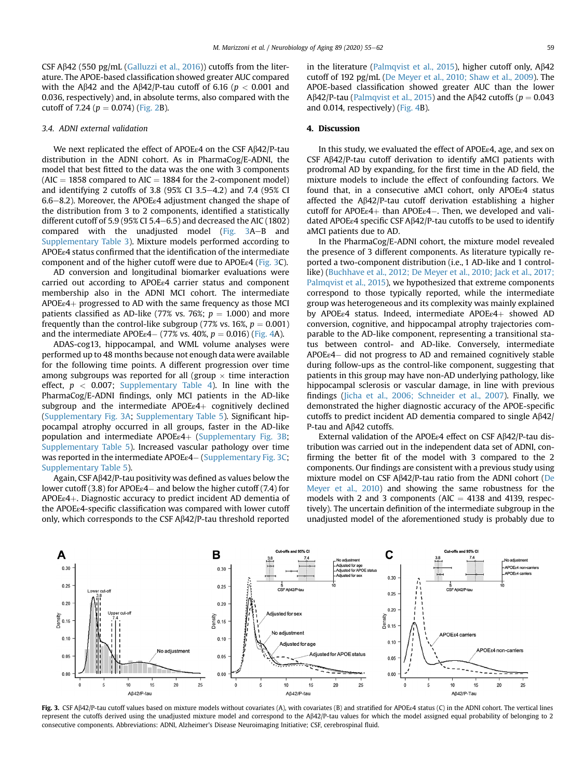CSF A $\beta$ 42 (550 pg/mL ([Galluzzi et al., 2016\)](#page-7-8)) cutoffs from the literature. The APOE-based classification showed greater AUC compared with the A $\beta$ 42 and the A $\beta$ 42/P-tau cutoff of 6.16 ( $p < 0.001$  and 0.036, respectively) and, in absolute terms, also compared with the cutoff of 7.24 ( $p = 0.074$ ) [\(Fig. 2](#page-3-1)B).

## 3.4. ADNI external validation

We next replicated the effect of APOEε4 on the CSF Aβ42/P-tau distribution in the ADNI cohort. As in PharmaCog/E-ADNI, the model that best fitted to the data was the one with 3 components  $(AIC = 1858$  compared to  $AIC = 1884$  for the 2-component model) and identifying 2 cutoffs of 3.8 (95% CI 3.5 $-4.2$ ) and 7.4 (95% CI  $6.6-8.2$ ). Moreover, the APOE<sub>ε4</sub> adjustment changed the shape of the distribution from 3 to 2 components, identified a statistically different cutoff of 5.9 (95% CI 5.4 $-6.5$ ) and decreased the AIC (1802) compared with the unadjusted model ([Fig. 3](#page-4-0)A-B and Supplementary Table 3). Mixture models performed according to APOEε4 status confirmed that the identification of the intermediate component and of the higher cutoff were due to APOEε4 [\(Fig. 3](#page-4-0)C).

AD conversion and longitudinal biomarker evaluations were carried out according to APOEε4 carrier status and component membership also in the ADNI MCI cohort. The intermediate  $APOEe4$ + progressed to AD with the same frequency as those MCI patients classified as AD-like (77% vs. 76%;  $p = 1.000$ ) and more frequently than the control-like subgroup (77% vs. 16%,  $p = 0.001$ ) and the intermediate  $APOEe4 - (77\% \text{ vs. } 40\%, p = 0.016)$  ([Fig. 4](#page-5-0)A).

ADAS-cog13, hippocampal, and WML volume analyses were performed up to 48 months because not enough data were available for the following time points. A different progression over time among subgroups was reported for all (group  $\times$  time interaction effect,  $p < 0.007$ ; Supplementary Table 4). In line with the PharmaCog/E-ADNI findings, only MCI patients in the AD-like subgroup and the intermediate  $APOEe4+$  cognitively declined (Supplementary Fig. 3A; Supplementary Table 5). Significant hippocampal atrophy occurred in all groups, faster in the AD-like population and intermediate APOEε4+ (Supplementary Fig. 3B; Supplementary Table 5). Increased vascular pathology over time was reported in the intermediate APOEε4- (Supplementary Fig. 3C; Supplementary Table 5).

Again, CSF  $A\beta42/P$ -tau positivity was defined as values below the lower cutoff (3.8) for APOEε4 – and below the higher cutoff (7.4) for APOEε4þ. Diagnostic accuracy to predict incident AD dementia of the APOEε4-specific classification was compared with lower cutoff only, which corresponds to the CSF Ab42/P-tau threshold reported in the literature ([Palmqvist et al., 2015](#page-7-4)), higher cutoff only,  $A\beta42$ cutoff of 192 pg/mL [\(De Meyer et al., 2010; Shaw et al., 2009](#page-6-7)). The APOE-based classification showed greater AUC than the lower A $\beta$ 42/P-tau ([Palmqvist et al., 2015](#page-7-4)) and the A $\beta$ 42 cutoffs ( $p = 0.043$ ) and 0.014, respectively) ([Fig. 4](#page-5-0)B).

## 4. Discussion

In this study, we evaluated the effect of APOEε4, age, and sex on CSF  $A\beta$ 42/P-tau cutoff derivation to identify aMCI patients with prodromal AD by expanding, for the first time in the AD field, the mixture models to include the effect of confounding factors. We found that, in a consecutive aMCI cohort, only APOEε4 status affected the  $A\beta 42/P$ -tau cutoff derivation establishing a higher cutoff for  $APOEe4+$  than  $APOEe4-$ . Then, we developed and validated APOEε4 specific CSF Ab42/P-tau cutoffs to be used to identify aMCI patients due to AD.

In the PharmaCog/E-ADNI cohort, the mixture model revealed the presence of 3 different components. As literature typically reported a two-component distribution (i.e., 1 AD-like and 1 controllike) [\(Buchhave et al., 2012; De Meyer et al., 2010; Jack et al., 2017;](#page-6-9) [Palmqvist et al., 2015](#page-6-9)), we hypothesized that extreme components correspond to those typically reported, while the intermediate group was heterogeneous and its complexity was mainly explained by APOEε4 status. Indeed, intermediate APOEε4+ showed AD conversion, cognitive, and hippocampal atrophy trajectories comparable to the AD-like component, representing a transitional status between control- and AD-like. Conversely, intermediate APOEε4- did not progress to AD and remained cognitively stable during follow-ups as the control-like component, suggesting that patients in this group may have non-AD underlying pathology, like hippocampal sclerosis or vascular damage, in line with previous findings [\(Jicha et al., 2006; Schneider et al., 2007](#page-7-14)). Finally, we demonstrated the higher diagnostic accuracy of the APOE-specific cutoffs to predict incident AD dementia compared to single  $A\beta 42$ / P-tau and  $A\beta$ 42 cutoffs.

External validation of the APOEε4 effect on CSF Ab42/P-tau distribution was carried out in the independent data set of ADNI, confirming the better fit of the model with 3 compared to the 2 components. Our findings are consistent with a previous study using mixture model on CSF  $A\beta$ 42/P-tau ratio from the ADNI cohort ([De](#page-6-7) [Meyer et al., 2010\)](#page-6-7) and showing the same robustness for the models with 2 and 3 components ( $AIC = 4138$  and 4139, respectively). The uncertain definition of the intermediate subgroup in the unadjusted model of the aforementioned study is probably due to

<span id="page-4-0"></span>

Fig. 3. CSF Aβ42/P-tau cutoff values based on mixture models without covariates (A), with covariates (B) and stratified for APOEe4 status (C) in the ADNI cohort. The vertical lines represent the cutoffs derived using the unadjusted mixture model and correspond to the Ab42/P-tau values for which the model assigned equal probability of belonging to 2 consecutive components. Abbreviations: ADNI, Alzheimer's Disease Neuroimaging Initiative; CSF, cerebrospinal fluid.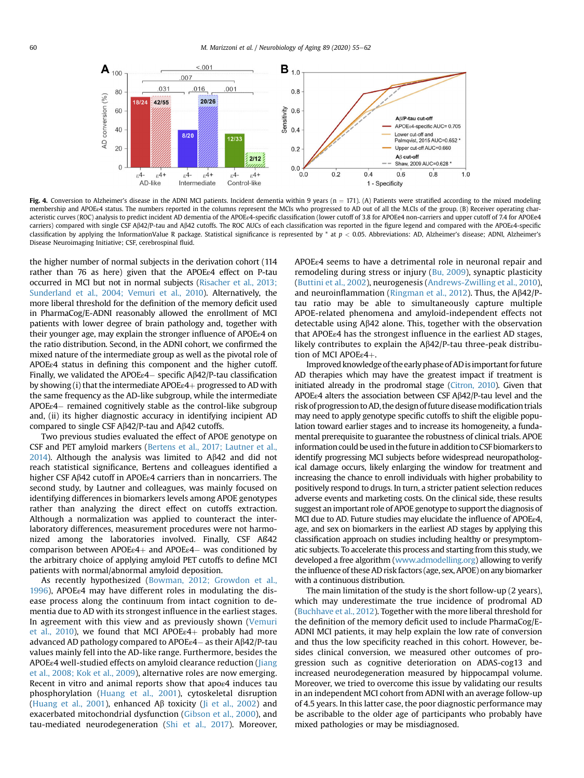<span id="page-5-0"></span>

Fig. 4. Conversion to Alzheimer's disease in the ADNI MCI patients. Incident dementia within 9 years (n = 171). (A) Patients were stratified according to the mixed modeling membership and APOEe4 status. The numbers reported in the columns represent the MCIs who progressed to AD out of all the M.CIs of the group. (B) Receiver operating characteristic curves (ROC) analysis to predict incident AD dementia of the APOEe4-specific classification (lower cutoff of 3.8 for APOEe4 non-carriers and upper cutoff of 7.4 for APOEe4 carriers) compared with single CSF Ab42/P-tau and Ab42 cutoffs. The ROC AUCs of each classification was reported in the figure legend and compared with the APOEε4-specific classification by applying the InformationValue R package. Statistical significance is represented by \* at  $p < 0.05$ . Abbreviations: AD, Alzheimer's disease; ADNI, Alzheimer's Disease Neuroimaging Initiative; CSF, cerebrospinal fluid.

the higher number of normal subjects in the derivation cohort (114 rather than 76 as here) given that the APOEε4 effect on P-tau occurred in MCI but not in normal subjects ([Risacher et al., 2013;](#page-7-6) [Sunderland et al., 2004; Vemuri et al., 2010\)](#page-7-6). Alternatively, the more liberal threshold for the definition of the memory deficit used in PharmaCog/E-ADNI reasonably allowed the enrollment of MCI patients with lower degree of brain pathology and, together with their younger age, may explain the stronger influence of APOEε4 on the ratio distribution. Second, in the ADNI cohort, we confirmed the mixed nature of the intermediate group as well as the pivotal role of APOEε4 status in defining this component and the higher cutoff. Finally, we validated the APOEε4- specific Ab42/P-tau classification by showing (i) that the intermediate  $APOEe4$ + progressed to AD with the same frequency as the AD-like subgroup, while the intermediate APOEε4- remained cognitively stable as the control-like subgroup and, (ii) its higher diagnostic accuracy in identifying incipient AD compared to single CSF A $\beta$ 42/P-tau and A $\beta$ 42 cutoffs.

Two previous studies evaluated the effect of APOE genotype on CSF and PET amyloid markers [\(Bertens et al., 2017; Lautner et al.,](#page-6-6)  $2014$ ). Although the analysis was limited to A $\beta$ 42 and did not reach statistical significance, Bertens and colleagues identified a higher CSF Ab42 cutoff in APOEε4 carriers than in noncarriers. The second study, by Lautner and colleagues, was mainly focused on identifying differences in biomarkers levels among APOE genotypes rather than analyzing the direct effect on cutoffs extraction. Although a normalization was applied to counteract the interlaboratory differences, measurement procedures were not harmonized among the laboratories involved. Finally, CSF Aß42 comparison between  $APOEe4+$  and  $APOEe4-$  was conditioned by the arbitrary choice of applying amyloid PET cutoffs to define MCI patients with normal/abnormal amyloid deposition.

As recently hypothesized [\(Bowman, 2012; Growdon et al.,](#page-6-10) [1996\)](#page-6-10), APOEε4 may have different roles in modulating the disease process along the continuum from intact cognition to dementia due to AD with its strongest influence in the earliest stages. In agreement with this view and as previously shown [\(Vemuri](#page-7-15) [et al., 2010](#page-7-15)), we found that MCI APOE $\varepsilon$ 4+ probably had more advanced AD pathology compared to APOEε4- as their Ab42/P-tau values mainly fell into the AD-like range. Furthermore, besides the APOEε4 well-studied effects on amyloid clearance reduction ([Jiang](#page-7-16) [et al., 2008; Kok et al., 2009](#page-7-16)), alternative roles are now emerging. Recent in vitro and animal reports show that apoe4 induces tau phosphorylation ([Huang et al., 2001\)](#page-7-17), cytoskeletal disruption [\(Huang et al., 2001](#page-7-17)), enhanced A $\beta$  toxicity ([Ji et al., 2002\)](#page-7-18) and exacerbated mitochondrial dysfunction [\(Gibson et al., 2000\)](#page-7-19), and tau-mediated neurodegeneration ([Shi et al., 2017\)](#page-7-20). Moreover, APOEε4 seems to have a detrimental role in neuronal repair and remodeling during stress or injury [\(Bu, 2009\)](#page-6-11), synaptic plasticity ([Buttini et al., 2002\)](#page-6-12), neurogenesis [\(Andrews-Zwilling et al., 2010](#page-6-13)), and neuroinflammation ([Ringman et al., 2012](#page-7-21)). Thus, the  $A\beta 42/P$ tau ratio may be able to simultaneously capture multiple APOE-related phenomena and amyloid-independent effects not detectable using  $A\beta 42$  alone. This, together with the observation that APOEε4 has the strongest influence in the earliest AD stages, likely contributes to explain the  $A\beta42/P$ -tau three-peak distribution of MCI APOEε4+.

Improved knowledge of the early phase of ADisimportant for future AD therapies which may have the greatest impact if treatment is initiated already in the prodromal stage [\(Citron, 2010\)](#page-6-14). Given that APOEε4 alters the association between CSF Ab42/P-tau level and the risk of progression to AD, the design of future diseasemodification trials may need to apply genotype specific cutoffs to shift the eligible population toward earlier stages and to increase its homogeneity, a fundamental prerequisite to guarantee the robustness of clinical trials. APOE information could be used in the future in addition to CSF biomarkers to identify progressing MCI subjects before widespread neuropathological damage occurs, likely enlarging the window for treatment and increasing the chance to enroll individuals with higher probability to positively respond to drugs. In turn, a stricter patient selection reduces adverse events and marketing costs. On the clinical side, these results suggest an important role of APOE genotype to support the diagnosis of MCI due to AD. Future studies may elucidate the influence of APOEε4, age, and sex on biomarkers in the earliest AD stages by applying this classification approach on studies including healthy or presymptomatic subjects. To accelerate this process and starting from this study, we developed a free algorithm [\(www.admodelling.org](http://www.admodelling.org)) allowing to verify the influence of these AD risk factors (age, sex, APOE) on any biomarker with a continuous distribution.

The main limitation of the study is the short follow-up (2 years), which may underestimate the true incidence of prodromal AD ([Buchhave et al., 2012\)](#page-6-9). Together with the more liberal threshold for the definition of the memory deficit used to include PharmaCog/E-ADNI MCI patients, it may help explain the low rate of conversion and thus the low specificity reached in this cohort. However, besides clinical conversion, we measured other outcomes of progression such as cognitive deterioration on ADAS-cog13 and increased neurodegeneration measured by hippocampal volume. Moreover, we tried to overcome this issue by validating our results in an independent MCI cohort from ADNI with an average follow-up of 4.5 years. In this latter case, the poor diagnostic performance may be ascribable to the older age of participants who probably have mixed pathologies or may be misdiagnosed.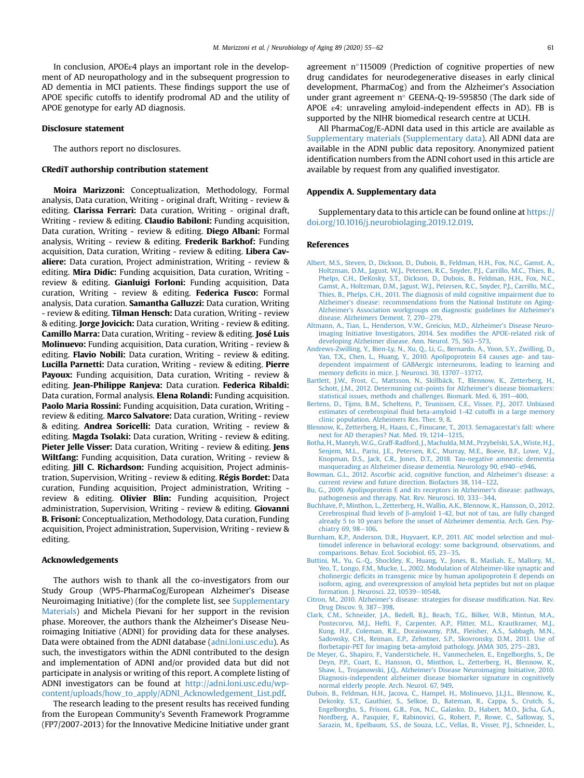In conclusion, APOEε4 plays an important role in the development of AD neuropathology and in the subsequent progression to AD dementia in MCI patients. These findings support the use of APOE specific cutoffs to identify prodromal AD and the utility of APOE genotype for early AD diagnosis.

#### Disclosure statement

The authors report no disclosures.

#### CRediT authorship contribution statement

Moira Marizzoni: Conceptualization, Methodology, Formal analysis, Data curation, Writing - original draft, Writing - review & editing. **Clarissa Ferrari:** Data curation, Writing - original draft, Writing - review & editing. Claudio Babiloni: Funding acquisition, Data curation, Writing - review & editing. Diego Albani: Formal analysis, Writing - review & editing. Frederik Barkhof: Funding acquisition, Data curation, Writing - review & editing. Libera Cavaliere: Data curation, Project administration, Writing - review & editing. Mira Didic: Funding acquisition, Data curation, Writing review & editing. Gianluigi Forloni: Funding acquisition, Data curation, Writing - review & editing. Federica Fusco: Formal analysis, Data curation. Samantha Galluzzi: Data curation, Writing - review & editing. Tilman Hensch: Data curation, Writing - review & editing. Jorge Jovicich: Data curation, Writing - review & editing. Camillo Marra: Data curation, Writing - review & editing. José Luis Molinuevo: Funding acquisition, Data curation, Writing - review & editing. Flavio Nobili: Data curation, Writing - review & editing. Lucilla Parnetti: Data curation, Writing - review & editing. Pierre Payoux: Funding acquisition, Data curation, Writing - review & editing. Jean-Philippe Ranjeva: Data curation. Federica Ribaldi: Data curation, Formal analysis. Elena Rolandi: Funding acquisition. Paolo Maria Rossini: Funding acquisition, Data curation, Writing review & editing. **Marco Salvatore:** Data curation, Writing - review & editing. Andrea Soricelli: Data curation, Writing - review & editing. **Magda Tsolaki:** Data curation, Writing - review & editing. Pieter Jelle Visser: Data curation, Writing - review & editing. Jens Wiltfang: Funding acquisition, Data curation, Writing - review & editing. Jill C. Richardson: Funding acquisition, Project administration, Supervision, Writing - review & editing. Régis Bordet: Data curation, Funding acquisition, Project administration, Writing review & editing. Olivier Blin: Funding acquisition, Project administration, Supervision, Writing - review & editing. Giovanni B. Frisoni: Conceptualization, Methodology, Data curation, Funding acquisition, Project administration, Supervision, Writing - review & editing.

## Acknowledgements

The authors wish to thank all the co-investigators from our Study Group (WP5-PharmaCog/European Alzheimer's Disease Neuroimaging Initiative) (for the complete list, see Supplementary Materials) and Michela Pievani for her support in the revision phase. Moreover, the authors thank the Alzheimer's Disease Neuroimaging Initiative (ADNI) for providing data for these analyses. Data were obtained from the ADNI database ([adni.loni.usc.edu\)](http://adni.loni.usc.edu). As such, the investigators within the ADNI contributed to the design and implementation of ADNI and/or provided data but did not participate in analysis or writing of this report. A complete listing of ADNI investigators can be found at [http://adni.loni.usc.edu/wp](http://adni.loni.usc.edu/wp-content/uploads/how_to_apply/ADNI_Acknowledgement_List.pdf)[content/uploads/how\\_to\\_apply/ADNI\\_Acknowledgement\\_List.pdf](http://adni.loni.usc.edu/wp-content/uploads/how_to_apply/ADNI_Acknowledgement_List.pdf).

The research leading to the present results has received funding from the European Community's Seventh Framework Programme (FP7/2007-2013) for the Innovative Medicine Initiative under grant agreement  $n^{\circ}$ 115009 (Prediction of cognitive properties of new drug candidates for neurodegenerative diseases in early clinical development, PharmaCog) and from the Alzheimer's Association under grant agreement n° GEENA-Q-19-595850 (The dark side of APOE  $\varepsilon$ 4: unraveling amyloid-independent effects in AD). FB is supported by the NIHR biomedical research centre at UCLH.

All PharmaCog/E-ADNI data used in this article are available as Supplementary materials (Supplementary data). All ADNI data are available in the ADNI public data repository. Anonymized patient identification numbers from the ADNI cohort used in this article are available by request from any qualified investigator.

### Appendix A. Supplementary data

Supplementary data to this article can be found online at [https://](https://doi.org/10.1016/j.neurobiolaging.2019.12.019) [doi.org/10.1016/j.neurobiolaging.2019.12.019](https://doi.org/10.1016/j.neurobiolaging.2019.12.019).

#### References

- <span id="page-6-0"></span>[Albert, M.S., Steven, D., Dickson, D., Dubois, B., Feldman, H.H., Fox, N.C., Gamst, A.,](http://refhub.elsevier.com/S0197-4580(19)30448-8/sref1) [Holtzman, D.M., Jagust, W.J., Petersen, R.C., Snyder, P.J., Carrillo, M.C., Thies, B.,](http://refhub.elsevier.com/S0197-4580(19)30448-8/sref1) [Phelps, C.H., DeKosky, S.T., Dickson, D., Dubois, B., Feldman, H.H., Fox, N.C.,](http://refhub.elsevier.com/S0197-4580(19)30448-8/sref1) [Gamst, A., Holtzman, D.M., Jagust, W.J., Petersen, R.C., Snyder, P.J., Carrillo, M.C.,](http://refhub.elsevier.com/S0197-4580(19)30448-8/sref1) [Thies, B., Phelps, C.H., 2011. The diagnosis of mild cognitive impairment due to](http://refhub.elsevier.com/S0197-4580(19)30448-8/sref1) Alzheimer'[s disease: recommendations from the National Institute on Aging-](http://refhub.elsevier.com/S0197-4580(19)30448-8/sref1)Alzheimer'[s Association workgroups on diagnostic guidelines for Alzheimer](http://refhub.elsevier.com/S0197-4580(19)30448-8/sref1)'s [disease. Alzheimers Dement. 7, 270](http://refhub.elsevier.com/S0197-4580(19)30448-8/sref1)-[279](http://refhub.elsevier.com/S0197-4580(19)30448-8/sref1).
- <span id="page-6-5"></span>[Altmann, A., Tian, L., Henderson, V.W., Greicius, M.D., Alzheimer](http://refhub.elsevier.com/S0197-4580(19)30448-8/sref2)'s Disease Neuro[imaging Initiative Investigators, 2014. Sex modi](http://refhub.elsevier.com/S0197-4580(19)30448-8/sref2)fies the APOE-related risk of [developing Alzheimer disease. Ann. Neurol. 75, 563](http://refhub.elsevier.com/S0197-4580(19)30448-8/sref2)–[573.](http://refhub.elsevier.com/S0197-4580(19)30448-8/sref2)
- <span id="page-6-13"></span>[Andrews-Zwilling, Y., Bien-Ly, N., Xu, Q., Li, G., Bernardo, A., Yoon, S.Y., Zwilling, D.,](http://refhub.elsevier.com/S0197-4580(19)30448-8/sref3) [Yan, T.X., Chen, L., Huang, Y., 2010. Apolipoprotein E4 causes age- and tau-](http://refhub.elsevier.com/S0197-4580(19)30448-8/sref3)[dependent impairment of GABAergic interneurons, leading to learning and](http://refhub.elsevier.com/S0197-4580(19)30448-8/sref3) memory defi[cits in mice. J. Neurosci. 30, 13707](http://refhub.elsevier.com/S0197-4580(19)30448-8/sref3)-[13717.](http://refhub.elsevier.com/S0197-4580(19)30448-8/sref3)
- <span id="page-6-4"></span>[Bartlett, J.W., Frost, C., Mattsson, N., Skillbäck, T., Blennow, K., Zetterberg, H.,](http://refhub.elsevier.com/S0197-4580(19)30448-8/sref4) [Schott, J.M., 2012. Determining cut-points for Alzheimer](http://refhub.elsevier.com/S0197-4580(19)30448-8/sref4)'s disease biomarkers: [statistical issues, methods and challenges. Biomark. Med. 6, 391](http://refhub.elsevier.com/S0197-4580(19)30448-8/sref4)-[400.](http://refhub.elsevier.com/S0197-4580(19)30448-8/sref4)
- <span id="page-6-6"></span>[Bertens, D., Tijms, B.M., Scheltens, P., Teunissen, C.E., Visser, P.J., 2017. Unbiased](http://refhub.elsevier.com/S0197-4580(19)30448-8/sref5) estimates of cerebrospinal fl[uid beta-amyloid 1-42 cutoffs in a large memory](http://refhub.elsevier.com/S0197-4580(19)30448-8/sref5) [clinic population. Alzheimers Res. Ther. 9, 8.](http://refhub.elsevier.com/S0197-4580(19)30448-8/sref5)
- <span id="page-6-3"></span>[Blennow, K., Zetterberg, H., Haass, C., Finucane, T., 2013. Semagacestat](http://refhub.elsevier.com/S0197-4580(19)30448-8/sref6)'s fall: where [next for AD therapies? Nat. Med. 19, 1214](http://refhub.elsevier.com/S0197-4580(19)30448-8/sref6)-[1215](http://refhub.elsevier.com/S0197-4580(19)30448-8/sref6).
- <span id="page-6-2"></span>[Botha, H., Mantyh,W.G., Graff-Radford, J., Machulda, M.M., Przybelski, S.A., Wiste, H.J.,](http://refhub.elsevier.com/S0197-4580(19)30448-8/sref7) Senjem, M.L., Parisi, J.E., Petersen, R.C., Murray, M.E., Boeve, B.F., Lowe, [Knopman, D.S., Jack, C.R., Jones, D.T., 2018. Tau-negative amnestic dementia](http://refhub.elsevier.com/S0197-4580(19)30448-8/sref7) [masquerading as Alzheimer disease dementia. Neurology 90, e940](http://refhub.elsevier.com/S0197-4580(19)30448-8/sref7)-[e946.](http://refhub.elsevier.com/S0197-4580(19)30448-8/sref7)
- <span id="page-6-10"></span>[Bowman, G.L., 2012. Ascorbic acid, cognitive function, and Alzheimer](http://refhub.elsevier.com/S0197-4580(19)30448-8/sref8)'s disease: a [current review and future direction. Biofactors 38, 114](http://refhub.elsevier.com/S0197-4580(19)30448-8/sref8)-[122](http://refhub.elsevier.com/S0197-4580(19)30448-8/sref8).
- <span id="page-6-11"></span>[Bu, G., 2009. Apolipoprotein E and its receptors in Alzheimer](http://refhub.elsevier.com/S0197-4580(19)30448-8/sref9)'s disease: pathways, [pathogenesis and therapy. Nat. Rev. Neurosci. 10, 333](http://refhub.elsevier.com/S0197-4580(19)30448-8/sref9)-[344](http://refhub.elsevier.com/S0197-4580(19)30448-8/sref9).
- <span id="page-6-9"></span>[Buchhave, P., Minthon, L., Zetterberg, H., Wallin, A.K., Blennow, K., Hansson, O., 2012.](http://refhub.elsevier.com/S0197-4580(19)30448-8/sref10) Cerebrospinal fluid levels of  $\beta$ [-amyloid 1-42, but not of tau, are fully changed](http://refhub.elsevier.com/S0197-4580(19)30448-8/sref10) [already 5 to 10 years before the onset of Alzheimer dementia. Arch. Gen. Psy](http://refhub.elsevier.com/S0197-4580(19)30448-8/sref10)chiatry  $69, 98 - 106$  $69, 98 - 106$ .
- <span id="page-6-8"></span>[Burnham, K.P., Anderson, D.R., Huyvaert, K.P., 2011. AIC model selection and mul](http://refhub.elsevier.com/S0197-4580(19)30448-8/sref11)[timodel inference in behavioral ecology: some background, observations, and](http://refhub.elsevier.com/S0197-4580(19)30448-8/sref11) [comparisons. Behav. Ecol. Sociobiol. 65, 23](http://refhub.elsevier.com/S0197-4580(19)30448-8/sref11)-[35](http://refhub.elsevier.com/S0197-4580(19)30448-8/sref11).
- <span id="page-6-12"></span>[Buttini, M., Yu, G.-Q., Shockley, K., Huang, Y., Jones, B., Masliah, E., Mallory, M.,](http://refhub.elsevier.com/S0197-4580(19)30448-8/sref12) [Yeo, T., Longo, F.M., Mucke, L., 2002. Modulation of Alzheimer-like synaptic and](http://refhub.elsevier.com/S0197-4580(19)30448-8/sref12) cholinergic defi[cits in transgenic mice by human apolipoprotein E depends on](http://refhub.elsevier.com/S0197-4580(19)30448-8/sref12) [isoform, aging, and overexpression of amyloid beta peptides but not on plaque](http://refhub.elsevier.com/S0197-4580(19)30448-8/sref12) [formation. J. Neurosci. 22, 10539](http://refhub.elsevier.com/S0197-4580(19)30448-8/sref12)-[10548.](http://refhub.elsevier.com/S0197-4580(19)30448-8/sref12)
- <span id="page-6-14"></span>Citron, M., 2010. Alzheimer'[s disease: strategies for disease modi](http://refhub.elsevier.com/S0197-4580(19)30448-8/sref13)fication. Nat. Rev. [Drug Discov. 9, 387](http://refhub.elsevier.com/S0197-4580(19)30448-8/sref13)-[398.](http://refhub.elsevier.com/S0197-4580(19)30448-8/sref13)
- [Clark, C.M., Schneider, J.A., Bedell, B.J., Beach, T.G., Bilker, W.B., Mintun, M.A.,](http://refhub.elsevier.com/S0197-4580(19)30448-8/sref14) [Pontecorvo, M.J., Hefti, F., Carpenter, A.P., Flitter, M.L., Krautkramer, M.J.,](http://refhub.elsevier.com/S0197-4580(19)30448-8/sref14) [Kung, H.F., Coleman, R.E., Doraiswamy, P.M., Fleisher, A.S., Sabbagh, M.N.,](http://refhub.elsevier.com/S0197-4580(19)30448-8/sref14) [Sadowsky, C.H., Reiman, E.P., Zehntner, S.P., Skovronsky, D.M., 2011. Use of](http://refhub.elsevier.com/S0197-4580(19)30448-8/sref14) fl[orbetapir-PET for imaging beta-amyloid pathology. JAMA 305, 275](http://refhub.elsevier.com/S0197-4580(19)30448-8/sref14)-[283](http://refhub.elsevier.com/S0197-4580(19)30448-8/sref14).
- <span id="page-6-7"></span>[De Meyer, G., Shapiro, F., Vanderstichele, H., Vanmechelen, E., Engelborghs, S., De](http://refhub.elsevier.com/S0197-4580(19)30448-8/sref15) [Deyn, P.P., Coart, E., Hansson, O., Minthon, L., Zetterberg, H., Blennow, K.,](http://refhub.elsevier.com/S0197-4580(19)30448-8/sref15) Shaw, L., Trojanowski, J.Q., Alzheimer'[s Disease Neuroimaging Initiative, 2010.](http://refhub.elsevier.com/S0197-4580(19)30448-8/sref15) [Diagnosis-independent alzheimer disease biomarker signature in cognitively](http://refhub.elsevier.com/S0197-4580(19)30448-8/sref15) [normal elderly people. Arch. Neurol. 67, 949](http://refhub.elsevier.com/S0197-4580(19)30448-8/sref15).
- <span id="page-6-1"></span>[Dubois, B., Feldman, H.H., Jacova, C., Hampel, H., Molinuevo, J.L.J.L., Blennow, K.,](http://refhub.elsevier.com/S0197-4580(19)30448-8/sref16) [Dekosky, S.T., Gauthier, S., Selkoe, D., Bateman, R., Cappa, S., Crutch, S.,](http://refhub.elsevier.com/S0197-4580(19)30448-8/sref16) [Engelborghs, S., Frisoni, G.B., Fox, N.C., Galasko, D., Habert, M.O., Jicha, G.A.,](http://refhub.elsevier.com/S0197-4580(19)30448-8/sref16) [Nordberg, A., Pasquier, F., Rabinovici, G., Robert, P., Rowe, C., Salloway, S.,](http://refhub.elsevier.com/S0197-4580(19)30448-8/sref16) [Sarazin, M., Epelbaum, S.S., de Souza, L.C., Vellas, B., Visser, P.J., Schneider, L.,](http://refhub.elsevier.com/S0197-4580(19)30448-8/sref16)